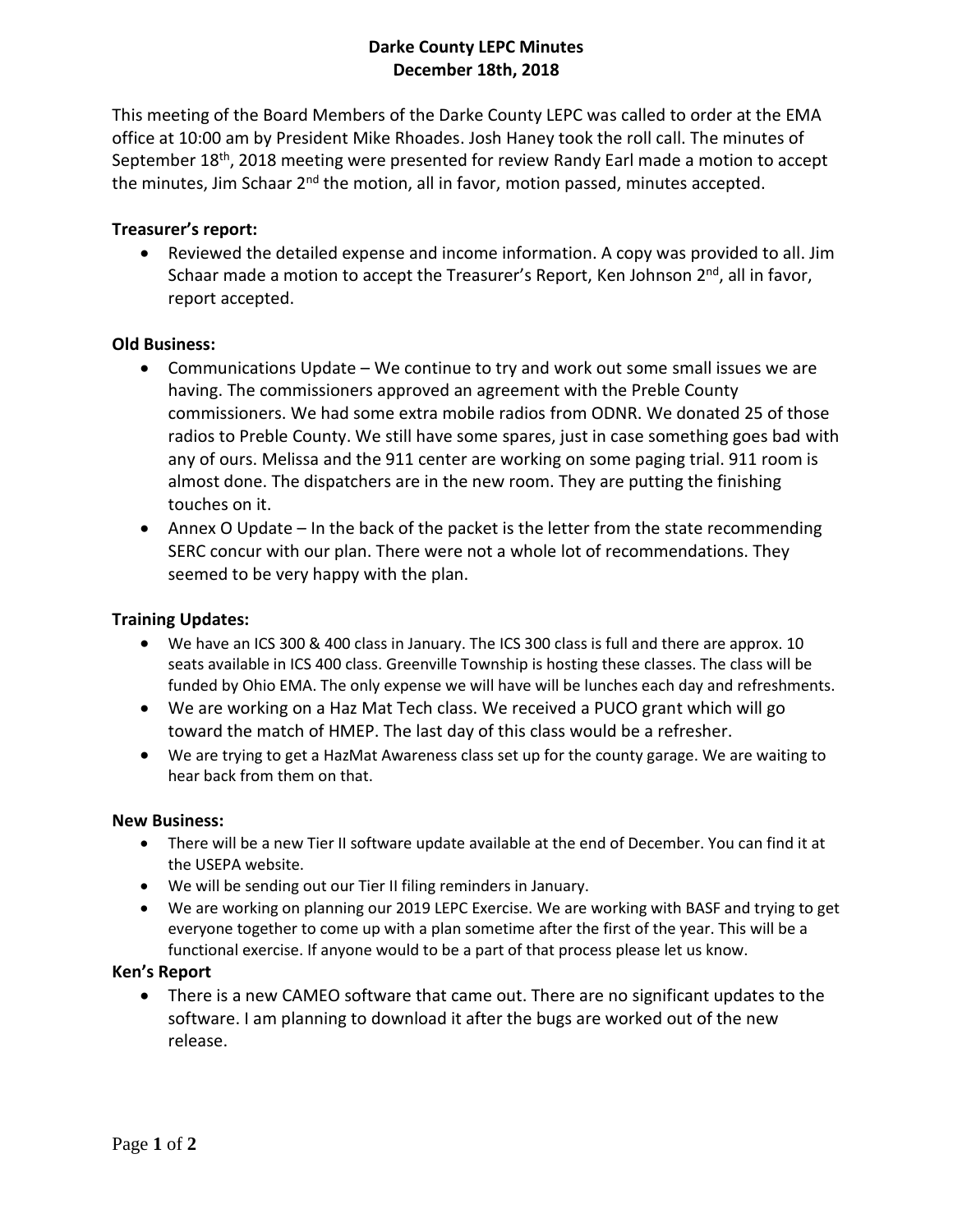# **Darke County LEPC Minutes December 18th, 2018**

This meeting of the Board Members of the Darke County LEPC was called to order at the EMA office at 10:00 am by President Mike Rhoades. Josh Haney took the roll call. The minutes of September 18<sup>th</sup>, 2018 meeting were presented for review Randy Earl made a motion to accept the minutes, Jim Schaar 2<sup>nd</sup> the motion, all in favor, motion passed, minutes accepted.

## **Treasurer's report:**

 Reviewed the detailed expense and income information. A copy was provided to all. Jim Schaar made a motion to accept the Treasurer's Report, Ken Johnson 2<sup>nd</sup>, all in favor, report accepted.

### **Old Business:**

- Communications Update We continue to try and work out some small issues we are having. The commissioners approved an agreement with the Preble County commissioners. We had some extra mobile radios from ODNR. We donated 25 of those radios to Preble County. We still have some spares, just in case something goes bad with any of ours. Melissa and the 911 center are working on some paging trial. 911 room is almost done. The dispatchers are in the new room. They are putting the finishing touches on it.
- Annex O Update In the back of the packet is the letter from the state recommending SERC concur with our plan. There were not a whole lot of recommendations. They seemed to be very happy with the plan.

### **Training Updates:**

- We have an ICS 300 & 400 class in January. The ICS 300 class is full and there are approx. 10 seats available in ICS 400 class. Greenville Township is hosting these classes. The class will be funded by Ohio EMA. The only expense we will have will be lunches each day and refreshments.
- We are working on a Haz Mat Tech class. We received a PUCO grant which will go toward the match of HMEP. The last day of this class would be a refresher.
- We are trying to get a HazMat Awareness class set up for the county garage. We are waiting to hear back from them on that.

### **New Business:**

- There will be a new Tier II software update available at the end of December. You can find it at the USEPA website.
- We will be sending out our Tier II filing reminders in January.
- We are working on planning our 2019 LEPC Exercise. We are working with BASF and trying to get everyone together to come up with a plan sometime after the first of the year. This will be a functional exercise. If anyone would to be a part of that process please let us know.

### **Ken's Report**

 There is a new CAMEO software that came out. There are no significant updates to the software. I am planning to download it after the bugs are worked out of the new release.